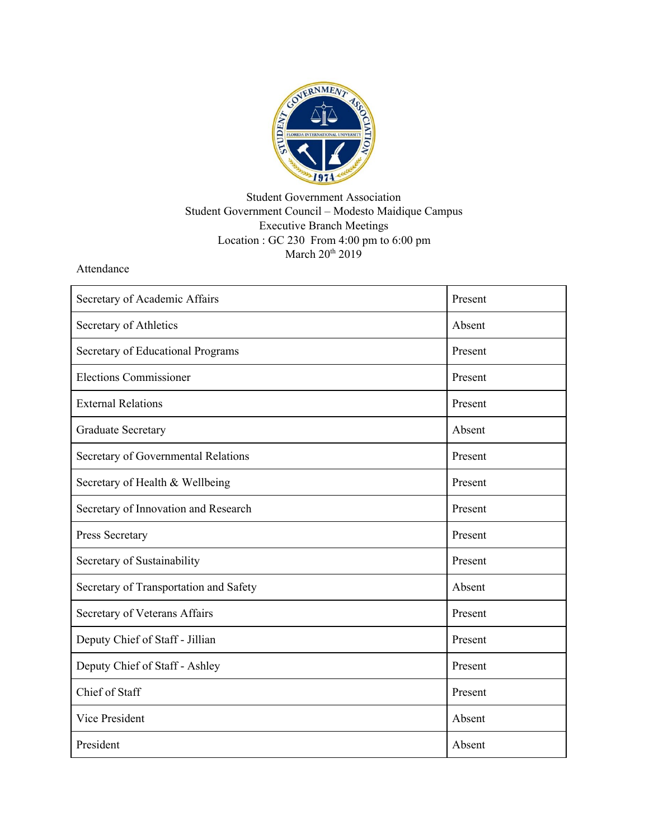

## Student Government Association Student Government Council – Modesto Maidique Campus Executive Branch Meetings Location : GC 230 From 4:00 pm to 6:00 pm March 20<sup>th</sup> 2019

Attendance

| Secretary of Academic Affairs          | Present |
|----------------------------------------|---------|
| Secretary of Athletics                 | Absent  |
| Secretary of Educational Programs      | Present |
| <b>Elections Commissioner</b>          | Present |
| <b>External Relations</b>              | Present |
| <b>Graduate Secretary</b>              | Absent  |
| Secretary of Governmental Relations    | Present |
| Secretary of Health & Wellbeing        | Present |
| Secretary of Innovation and Research   | Present |
| Press Secretary                        | Present |
| Secretary of Sustainability            | Present |
| Secretary of Transportation and Safety | Absent  |
| Secretary of Veterans Affairs          | Present |
| Deputy Chief of Staff - Jillian        | Present |
| Deputy Chief of Staff - Ashley         | Present |
| Chief of Staff                         | Present |
| <b>Vice President</b>                  | Absent  |
| President                              | Absent  |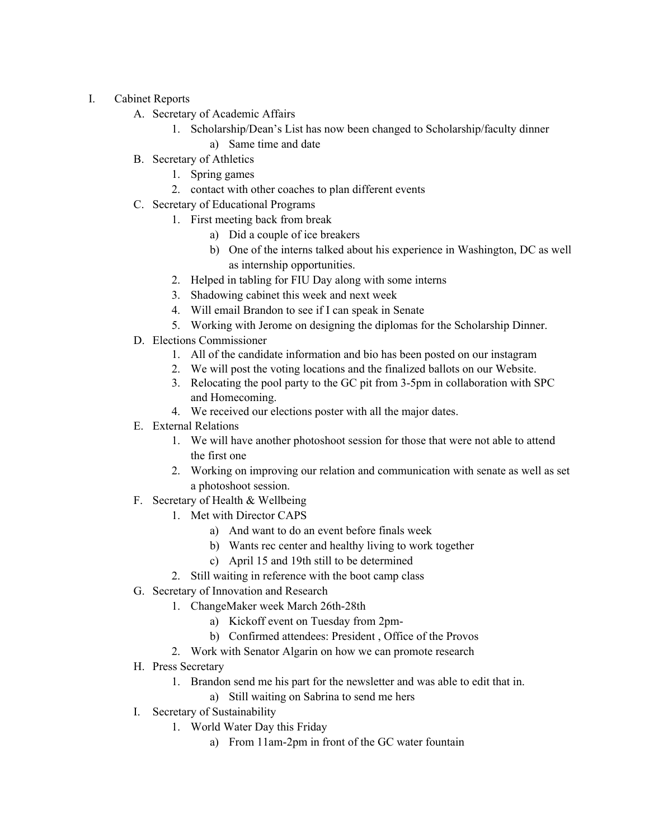- I. Cabinet Reports
	- A. Secretary of Academic Affairs
		- 1. Scholarship/Dean's List has now been changed to Scholarship/faculty dinner
			- a) Same time and date
	- B. Secretary of Athletics
		- 1. Spring games
		- 2. contact with other coaches to plan different events
	- C. Secretary of Educational Programs
		- 1. First meeting back from break
			- a) Did a couple of ice breakers
			- b) One of the interns talked about his experience in Washington, DC as well as internship opportunities.
			- 2. Helped in tabling for FIU Day along with some interns
			- 3. Shadowing cabinet this week and next week
			- 4. Will email Brandon to see if I can speak in Senate
			- 5. Working with Jerome on designing the diplomas for the Scholarship Dinner.
	- D. Elections Commissioner
		- 1. All of the candidate information and bio has been posted on our instagram
		- 2. We will post the voting locations and the finalized ballots on our Website.
		- 3. Relocating the pool party to the GC pit from 3-5pm in collaboration with SPC and Homecoming.
		- 4. We received our elections poster with all the major dates.
	- E. External Relations
		- 1. We will have another photoshoot session for those that were not able to attend the first one
		- 2. Working on improving our relation and communication with senate as well as set a photoshoot session.
	- F. Secretary of Health & Wellbeing
		- 1. Met with Director CAPS
			- a) And want to do an event before finals week
			- b) Wants rec center and healthy living to work together
			- c) April 15 and 19th still to be determined
		- 2. Still waiting in reference with the boot camp class
	- G. Secretary of Innovation and Research
		- 1. ChangeMaker week March 26th-28th
			- a) Kickoff event on Tuesday from 2pm-
			- b) Confirmed attendees: President , Office of the Provos
		- 2. Work with Senator Algarin on how we can promote research
	- H. Press Secretary
		- 1. Brandon send me his part for the newsletter and was able to edit that in.
			- a) Still waiting on Sabrina to send me hers
	- I. Secretary of Sustainability
		- 1. World Water Day this Friday
			- a) From 11am-2pm in front of the GC water fountain